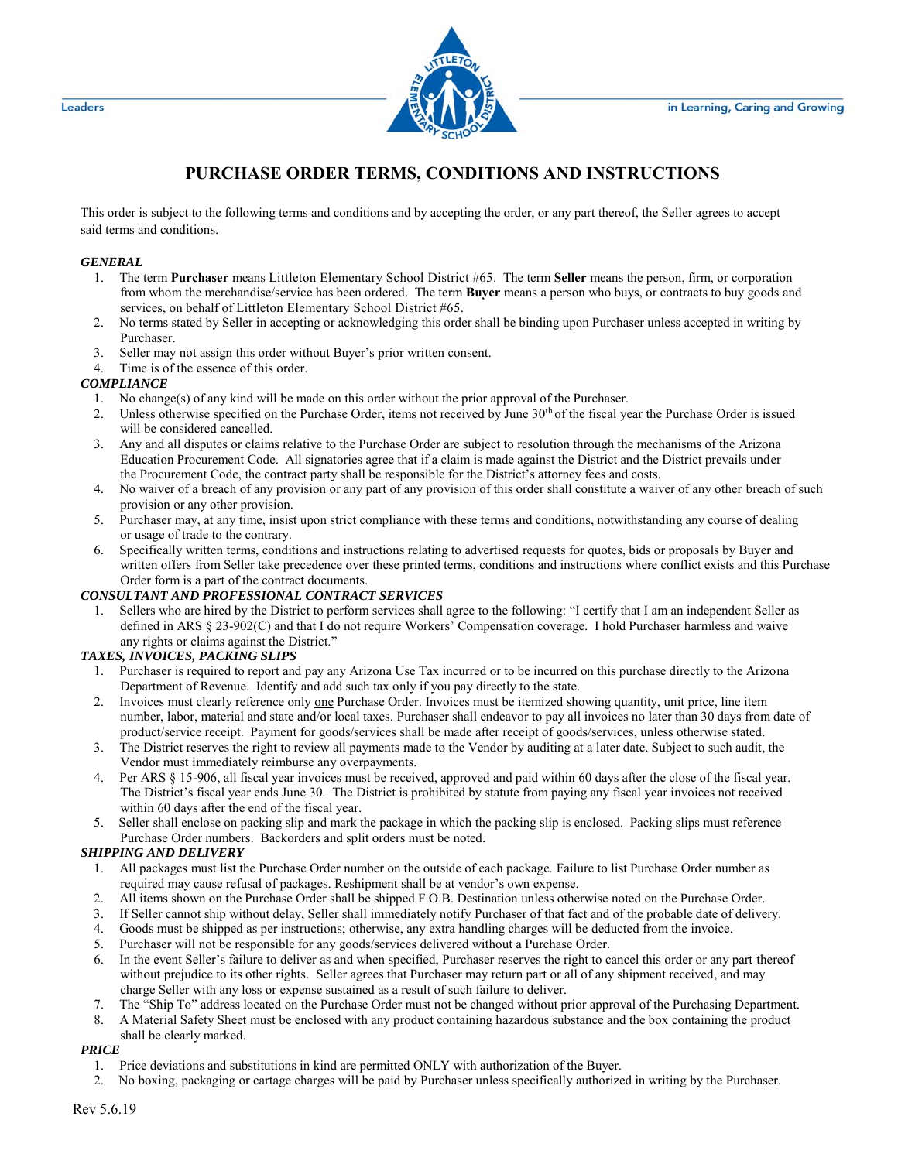

# **PURCHASE ORDER TERMS, CONDITIONS AND INSTRUCTIONS**

This order is subject to the following terms and conditions and by accepting the order, or any part thereof, the Seller agrees to accept said terms and conditions.

### *GENERAL*

- 1. The term **Purchaser** means Littleton Elementary School District #65. The term **Seller** means the person, firm, or corporation from whom the merchandise/service has been ordered. The term **Buyer** means a person who buys, or contracts to buy goods and services, on behalf of Littleton Elementary School District #65.
- 2. No terms stated by Seller in accepting or acknowledging this order shall be binding upon Purchaser unless accepted in writing by Purchaser.
- 3. Seller may not assign this order without Buyer's prior written consent.
- 4. Time is of the essence of this order.

## *COMPLIANCE*

- 1. No change(s) of any kind will be made on this order without the prior approval of the Purchaser.
- 2. Unless otherwise specified on the Purchase Order, items not received by June 30<sup>th</sup> of the fiscal year the Purchase Order is issued will be considered cancelled.
- 3. Any and all disputes or claims relative to the Purchase Order are subject to resolution through the mechanisms of the Arizona Education Procurement Code. All signatories agree that if a claim is made against the District and the District prevails under the Procurement Code, the contract party shall be responsible for the District's attorney fees and costs.
- 4. No waiver of a breach of any provision or any part of any provision of this order shall constitute a waiver of any other breach of such provision or any other provision.
- 5. Purchaser may, at any time, insist upon strict compliance with these terms and conditions, notwithstanding any course of dealing or usage of trade to the contrary.
- 6. Specifically written terms, conditions and instructions relating to advertised requests for quotes, bids or proposals by Buyer and written offers from Seller take precedence over these printed terms, conditions and instructions where conflict exists and this Purchase Order form is a part of the contract documents.

## *CONSULTANT AND PROFESSIONAL CONTRACT SERVICES*

1. Sellers who are hired by the District to perform services shall agree to the following: "I certify that I am an independent Seller as defined in ARS § 23-902(C) and that I do not require Workers' Compensation coverage. I hold Purchaser harmless and waive any rights or claims against the District."

### *TAXES, INVOICES, PACKING SLIPS*

- 1. Purchaser is required to report and pay any Arizona Use Tax incurred or to be incurred on this purchase directly to the Arizona Department of Revenue. Identify and add such tax only if you pay directly to the state.
- 2. Invoices must clearly reference only one Purchase Order. Invoices must be itemized showing quantity, unit price, line item number, labor, material and state and/or local taxes. Purchaser shall endeavor to pay all invoices no later than 30 days from date of product/service receipt. Payment for goods/services shall be made after receipt of goods/services, unless otherwise stated.
- 3. The District reserves the right to review all payments made to the Vendor by auditing at a later date. Subject to such audit, the Vendor must immediately reimburse any overpayments.
- 4. Per ARS § 15-906, all fiscal year invoices must be received, approved and paid within 60 days after the close of the fiscal year. The District's fiscal year ends June 30. The District is prohibited by statute from paying any fiscal year invoices not received within 60 days after the end of the fiscal year.
- 5. Seller shall enclose on packing slip and mark the package in which the packing slip is enclosed. Packing slips must reference Purchase Order numbers. Backorders and split orders must be noted.

## *SHIPPING AND DELIVERY*

- 1. All packages must list the Purchase Order number on the outside of each package. Failure to list Purchase Order number as required may cause refusal of packages. Reshipment shall be at vendor's own expense.
- 2. All items shown on the Purchase Order shall be shipped F.O.B. Destination unless otherwise noted on the Purchase Order.
- 3. If Seller cannot ship without delay, Seller shall immediately notify Purchaser of that fact and of the probable date of delivery.
- 4. Goods must be shipped as per instructions; otherwise, any extra handling charges will be deducted from the invoice.
- 5. Purchaser will not be responsible for any goods/services delivered without a Purchase Order.
- 6. In the event Seller's failure to deliver as and when specified, Purchaser reserves the right to cancel this order or any part thereof without prejudice to its other rights. Seller agrees that Purchaser may return part or all of any shipment received, and may charge Seller with any loss or expense sustained as a result of such failure to deliver.
- 7. The "Ship To" address located on the Purchase Order must not be changed without prior approval of the Purchasing Department.
- 8. A Material Safety Sheet must be enclosed with any product containing hazardous substance and the box containing the product shall be clearly marked.

## *PRICE*

- 1. Price deviations and substitutions in kind are permitted ONLY with authorization of the Buyer.
- 2. No boxing, packaging or cartage charges will be paid by Purchaser unless specifically authorized in writing by the Purchaser.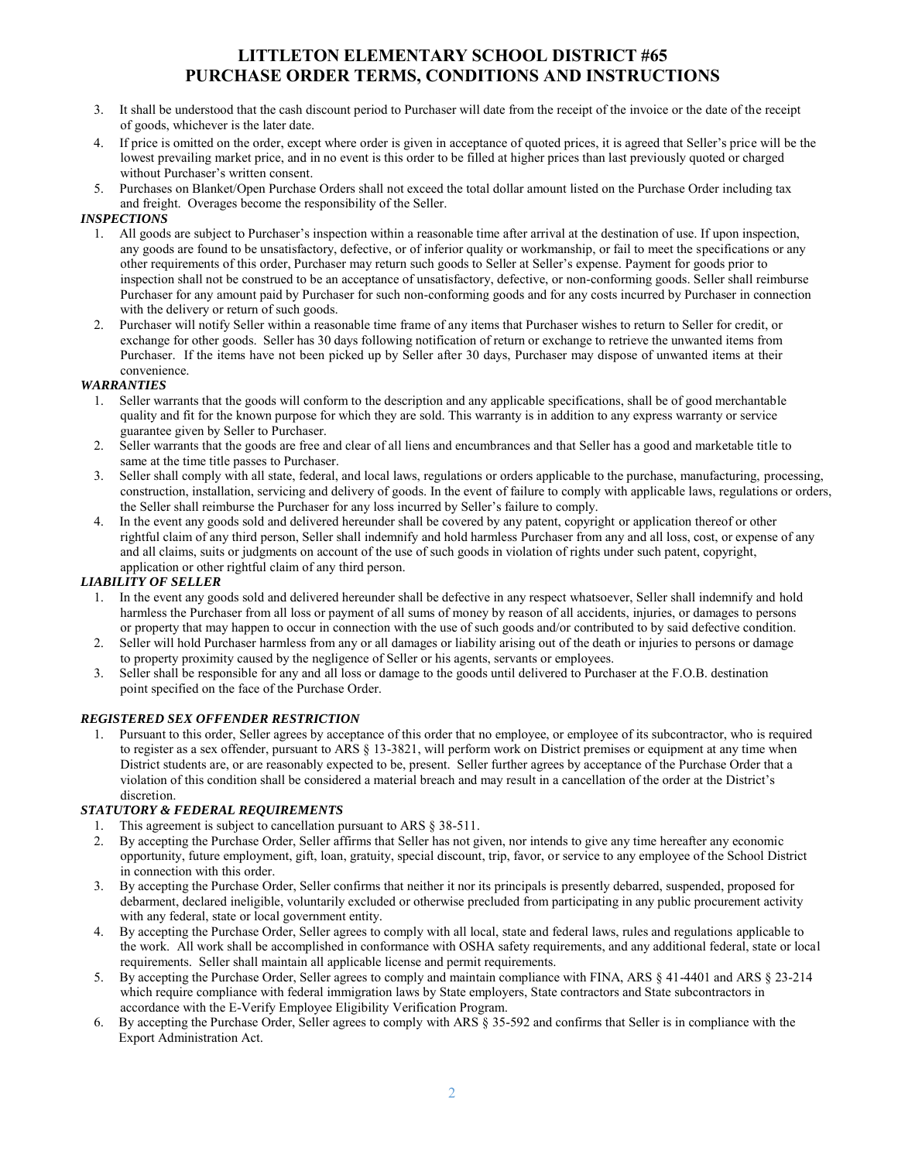## **LITTLETON ELEMENTARY SCHOOL DISTRICT #65 PURCHASE ORDER TERMS, CONDITIONS AND INSTRUCTIONS**

- 3. It shall be understood that the cash discount period to Purchaser will date from the receipt of the invoice or the date of the receipt of goods, whichever is the later date.
- 4. If price is omitted on the order, except where order is given in acceptance of quoted prices, it is agreed that Seller's price will be the lowest prevailing market price, and in no event is this order to be filled at higher prices than last previously quoted or charged without Purchaser's written consent.
- 5. Purchases on Blanket/Open Purchase Orders shall not exceed the total dollar amount listed on the Purchase Order including tax and freight. Overages become the responsibility of the Seller.

## *INSPECTIONS*

- 1. All goods are subject to Purchaser's inspection within a reasonable time after arrival at the destination of use. If upon inspection, any goods are found to be unsatisfactory, defective, or of inferior quality or workmanship, or fail to meet the specifications or any other requirements of this order, Purchaser may return such goods to Seller at Seller's expense. Payment for goods prior to inspection shall not be construed to be an acceptance of unsatisfactory, defective, or non-conforming goods. Seller shall reimburse Purchaser for any amount paid by Purchaser for such non-conforming goods and for any costs incurred by Purchaser in connection with the delivery or return of such goods.
- 2. Purchaser will notify Seller within a reasonable time frame of any items that Purchaser wishes to return to Seller for credit, or exchange for other goods. Seller has 30 days following notification of return or exchange to retrieve the unwanted items from Purchaser. If the items have not been picked up by Seller after 30 days, Purchaser may dispose of unwanted items at their convenience.

### *WARRANTIES*

- 1. Seller warrants that the goods will conform to the description and any applicable specifications, shall be of good merchantable quality and fit for the known purpose for which they are sold. This warranty is in addition to any express warranty or service guarantee given by Seller to Purchaser.
- 2. Seller warrants that the goods are free and clear of all liens and encumbrances and that Seller has a good and marketable title to same at the time title passes to Purchaser.
- 3. Seller shall comply with all state, federal, and local laws, regulations or orders applicable to the purchase, manufacturing, processing, construction, installation, servicing and delivery of goods. In the event of failure to comply with applicable laws, regulations or orders, the Seller shall reimburse the Purchaser for any loss incurred by Seller's failure to comply.
- 4. In the event any goods sold and delivered hereunder shall be covered by any patent, copyright or application thereof or other rightful claim of any third person, Seller shall indemnify and hold harmless Purchaser from any and all loss, cost, or expense of any and all claims, suits or judgments on account of the use of such goods in violation of rights under such patent, copyright, application or other rightful claim of any third person.

## *LIABILITY OF SELLER*

- 1. In the event any goods sold and delivered hereunder shall be defective in any respect whatsoever, Seller shall indemnify and hold harmless the Purchaser from all loss or payment of all sums of money by reason of all accidents, injuries, or damages to persons or property that may happen to occur in connection with the use of such goods and/or contributed to by said defective condition.
- 2. Seller will hold Purchaser harmless from any or all damages or liability arising out of the death or injuries to persons or damage to property proximity caused by the negligence of Seller or his agents, servants or employees.
- 3. Seller shall be responsible for any and all loss or damage to the goods until delivered to Purchaser at the F.O.B. destination point specified on the face of the Purchase Order.

### *REGISTERED SEX OFFENDER RESTRICTION*

1. Pursuant to this order, Seller agrees by acceptance of this order that no employee, or employee of its subcontractor, who is required to register as a sex offender, pursuant to ARS § 13-3821, will perform work on District premises or equipment at any time when District students are, or are reasonably expected to be, present. Seller further agrees by acceptance of the Purchase Order that a violation of this condition shall be considered a material breach and may result in a cancellation of the order at the District's discretion.

### *STATUTORY & FEDERAL REQUIREMENTS*

- 1. This agreement is subject to cancellation pursuant to ARS § 38-511.
- 2. By accepting the Purchase Order, Seller affirms that Seller has not given, nor intends to give any time hereafter any economic opportunity, future employment, gift, loan, gratuity, special discount, trip, favor, or service to any employee of the School District in connection with this order.
- 3. By accepting the Purchase Order, Seller confirms that neither it nor its principals is presently debarred, suspended, proposed for debarment, declared ineligible, voluntarily excluded or otherwise precluded from participating in any public procurement activity with any federal, state or local government entity.
- 4. By accepting the Purchase Order, Seller agrees to comply with all local, state and federal laws, rules and regulations applicable to the work. All work shall be accomplished in conformance with OSHA safety requirements, and any additional federal, state or local requirements. Seller shall maintain all applicable license and permit requirements.
- 5. By accepting the Purchase Order, Seller agrees to comply and maintain compliance with FINA, ARS § 41-4401 and ARS § 23-214 which require compliance with federal immigration laws by State employers, State contractors and State subcontractors in accordance with the E-Verify Employee Eligibility Verification Program.
- 6. By accepting the Purchase Order, Seller agrees to comply with ARS § 35-592 and confirms that Seller is in compliance with the Export Administration Act.